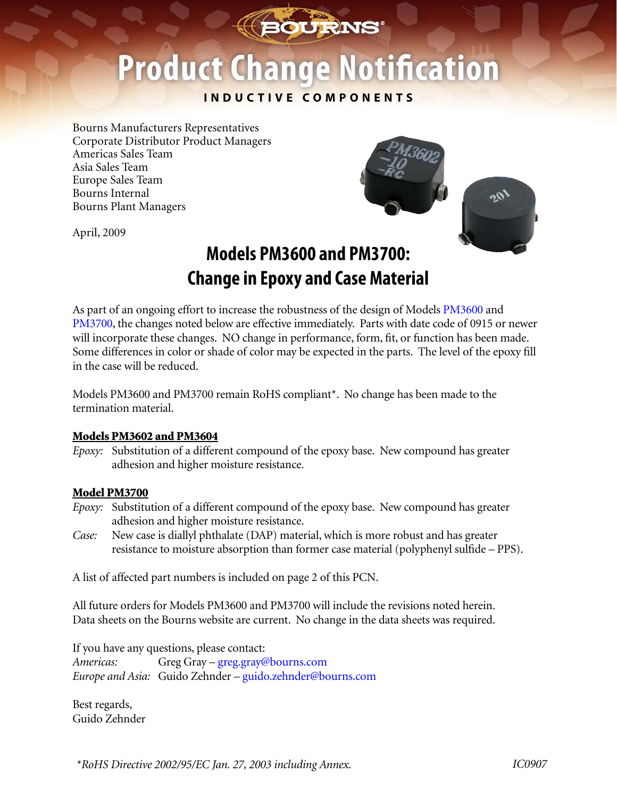

# **Product Change Notification**

### **INDUCTIVE COMPONENTS**

Bourns Manufacturers Representatives Corporate Distributor Product Managers Americas Sales Team Asia Sales Team Europe Sales Team Bourns Internal Bourns Plant Managers





April, 2009

## **Models PM3600 and PM3700: Change in Epoxy and Case Material**

As part of an ongoing effort to increase the robustness of the design of Mode[ls PM3600 and](http://www.bourns.com/data/global/pdfs/PM3600_series.pdf) [PM3700, the](http://www.bourns.com/data/global/pdfs/PM3700_series.pdf) changes noted below are effective immediately. Parts with date code of 0915 or newer will incorporate these changes. NO change in performance, form, fit, or function has been made. Some differences in color or shade of color may be expected in the parts. The level of the epoxy fill in the case will be reduced.

Models PM3600 and PM3700 remain RoHS compliant\*. No change has been made to the termination material.

### **Models PM3602 and PM3604**

*Epoxy:* Substitution of a different compound of the epoxy base. New compound has greater adhesion and higher moisture resistance.

#### **Model PM3700**

- *Epoxy*: Substitution of a different compound of the epoxy base. New compound has greater adhesion and higher moisture resistance.
- *Case:* New case is diallyl phthalate (DAP) material, which is more robust and has greater resistance to moisture absorption than former case material (polyphenyl sulfide – PPS).

A list of affected part numbers is included on page 2 of this PCN.

All future orders for Models PM3600 and PM3700 will include the revisions noted herein. Data sheets on the Bourns website are current. No change in the data sheets was required.

If you have any questions, please contact: *Americas:* Greg Gray [– greg.gray@bourns.com](mailto:greg.gray@bourns.com) *Europe and Asia:* Guido Zehnder [– guido.zehnder@bourns.com](mailto:guido.zehnder@bourns.com)

Best regards, Guido Zehnder